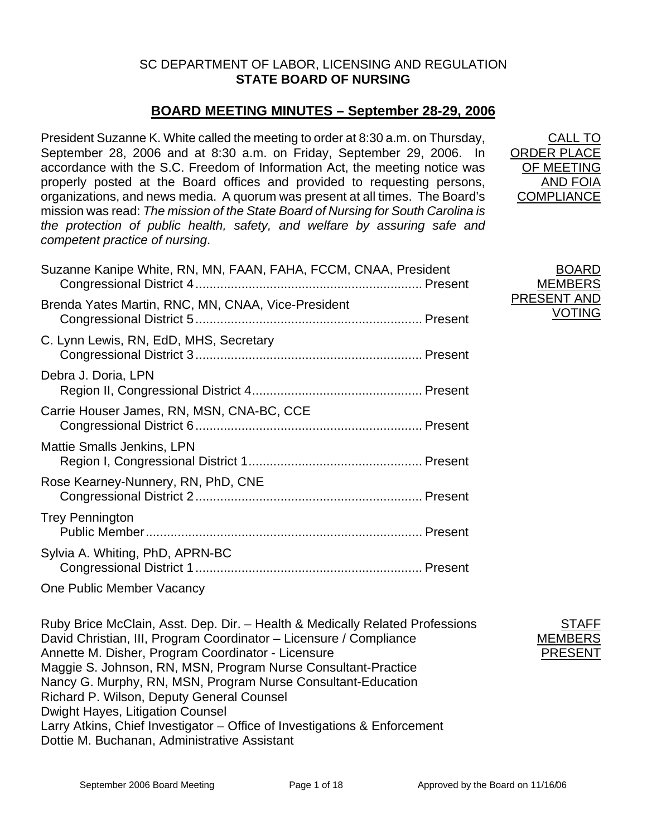## SC DEPARTMENT OF LABOR, LICENSING AND REGULATION **STATE BOARD OF NURSING**

## **BOARD MEETING MINUTES – September 28-29, 2006**

President Suzanne K. White called the meeting to order at 8:30 a.m. on Thursday, September 28, 2006 and at 8:30 a.m. on Friday, September 29, 2006. In accordance with the S.C. Freedom of Information Act, the meeting notice was properly posted at the Board offices and provided to requesting persons, organizations, and news media. A quorum was present at all times. The Board's mission was read: *The mission of the State Board of Nursing for South Carolina is the protection of public health, safety, and welfare by assuring safe and competent practice of nursing*.

| Suzanne Kanipe White, RN, MN, FAAN, FAHA, FCCM, CNAA, President |  |
|-----------------------------------------------------------------|--|
| Brenda Yates Martin, RNC, MN, CNAA, Vice-President              |  |
| C. Lynn Lewis, RN, EdD, MHS, Secretary                          |  |
| Debra J. Doria, LPN                                             |  |
| Carrie Houser James, RN, MSN, CNA-BC, CCE                       |  |
| <b>Mattie Smalls Jenkins, LPN</b>                               |  |
| Rose Kearney-Nunnery, RN, PhD, CNE                              |  |
| <b>Trey Pennington</b>                                          |  |
| Sylvia A. Whiting, PhD, APRN-BC                                 |  |
| One Public Member Vacancy                                       |  |

Ruby Brice McClain, Asst. Dep. Dir. – Health & Medically Related Professions David Christian, III, Program Coordinator – Licensure / Compliance Annette M. Disher, Program Coordinator - Licensure Maggie S. Johnson, RN, MSN, Program Nurse Consultant-Practice Nancy G. Murphy, RN, MSN, Program Nurse Consultant-Education Richard P. Wilson, Deputy General Counsel Dwight Hayes, Litigation Counsel Larry Atkins, Chief Investigator – Office of Investigations & Enforcement Dottie M. Buchanan, Administrative Assistant

CALL TO ORDER PLACE OF MEETING AND FOIA **COMPLIANCE** 

BOARD **MEMBERS** PRESENT AND VOTING

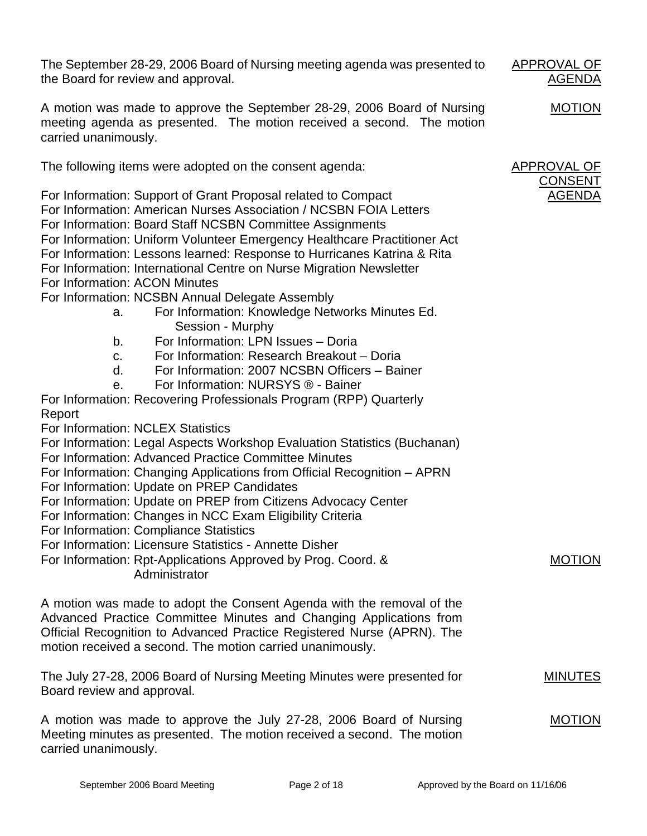The September 28-29, 2006 Board of Nursing meeting agenda was presented to the Board for review and approval.

A motion was made to approve the September 28-29, 2006 Board of Nursing meeting agenda as presented. The motion received a second. The motion carried unanimously.

The following items were adopted on the consent agenda:

For Information: Support of Grant Proposal related to Compact For Information: American Nurses Association / NCSBN FOIA Letters For Information: Board Staff NCSBN Committee Assignments For Information: Uniform Volunteer Emergency Healthcare Practitioner Act For Information: Lessons learned: Response to Hurricanes Katrina & Rita For Information: International Centre on Nurse Migration Newsletter For Information: ACON Minutes For Information: NCSBN Annual Delegate Assembly

- a. For Information: Knowledge Networks Minutes Ed. Session - Murphy
- b. For Information: LPN Issues Doria
- c. For Information: Research Breakout Doria
- d. For Information: 2007 NCSBN Officers Bainer
- e. For Information: NURSYS ® Bainer

For Information: Recovering Professionals Program (RPP) Quarterly Report

- For Information: NCLEX Statistics
- For Information: Legal Aspects Workshop Evaluation Statistics (Buchanan)
- For Information: Advanced Practice Committee Minutes
- For Information: Changing Applications from Official Recognition APRN
- For Information: Update on PREP Candidates
- For Information: Update on PREP from Citizens Advocacy Center
- For Information: Changes in NCC Exam Eligibility Criteria
- For Information: Compliance Statistics

For Information: Licensure Statistics - Annette Disher

For Information: Rpt-Applications Approved by Prog. Coord. & Administrator

A motion was made to adopt the Consent Agenda with the removal of the Advanced Practice Committee Minutes and Changing Applications from Official Recognition to Advanced Practice Registered Nurse (APRN). The motion received a second. The motion carried unanimously.

The July 27-28, 2006 Board of Nursing Meeting Minutes were presented for Board review and approval.

A motion was made to approve the July 27-28, 2006 Board of Nursing Meeting minutes as presented. The motion received a second. The motion carried unanimously. MOTION

APPROVAL OF AGENDA

MOTION

CONSENT AGENDA

MOTION

MINUTES

APPROVAL OF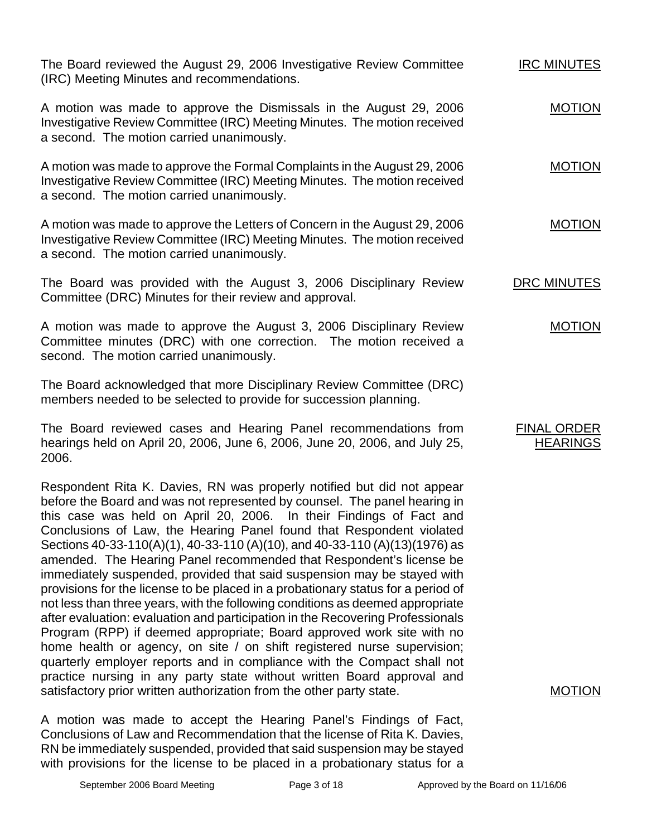The Board reviewed the August 29, 2006 Investigative Review Committee (IRC) Meeting Minutes and recommendations. IRC MINUTES

A motion was made to approve the Dismissals in the August 29, 2006 Investigative Review Committee (IRC) Meeting Minutes. The motion received a second. The motion carried unanimously.

A motion was made to approve the Formal Complaints in the August 29, 2006 Investigative Review Committee (IRC) Meeting Minutes. The motion received a second. The motion carried unanimously.

A motion was made to approve the Letters of Concern in the August 29, 2006 Investigative Review Committee (IRC) Meeting Minutes. The motion received a second. The motion carried unanimously.

The Board was provided with the August 3, 2006 Disciplinary Review Committee (DRC) Minutes for their review and approval. DRC MINUTES

A motion was made to approve the August 3, 2006 Disciplinary Review Committee minutes (DRC) with one correction. The motion received a second. The motion carried unanimously. MOTION

The Board acknowledged that more Disciplinary Review Committee (DRC) members needed to be selected to provide for succession planning.

The Board reviewed cases and Hearing Panel recommendations from hearings held on April 20, 2006, June 6, 2006, June 20, 2006, and July 25, 2006.

Respondent Rita K. Davies, RN was properly notified but did not appear before the Board and was not represented by counsel. The panel hearing in this case was held on April 20, 2006. In their Findings of Fact and Conclusions of Law, the Hearing Panel found that Respondent violated Sections 40-33-110(A)(1), 40-33-110 (A)(10), and 40-33-110 (A)(13)(1976) as amended. The Hearing Panel recommended that Respondent's license be immediately suspended, provided that said suspension may be stayed with provisions for the license to be placed in a probationary status for a period of not less than three years, with the following conditions as deemed appropriate after evaluation: evaluation and participation in the Recovering Professionals Program (RPP) if deemed appropriate; Board approved work site with no home health or agency, on site / on shift registered nurse supervision; quarterly employer reports and in compliance with the Compact shall not practice nursing in any party state without written Board approval and satisfactory prior written authorization from the other party state.

A motion was made to accept the Hearing Panel's Findings of Fact, Conclusions of Law and Recommendation that the license of Rita K. Davies, RN be immediately suspended, provided that said suspension may be stayed with provisions for the license to be placed in a probationary status for a

MOTION

FINAL ORDER **HEARINGS** 

MOTION

MOTION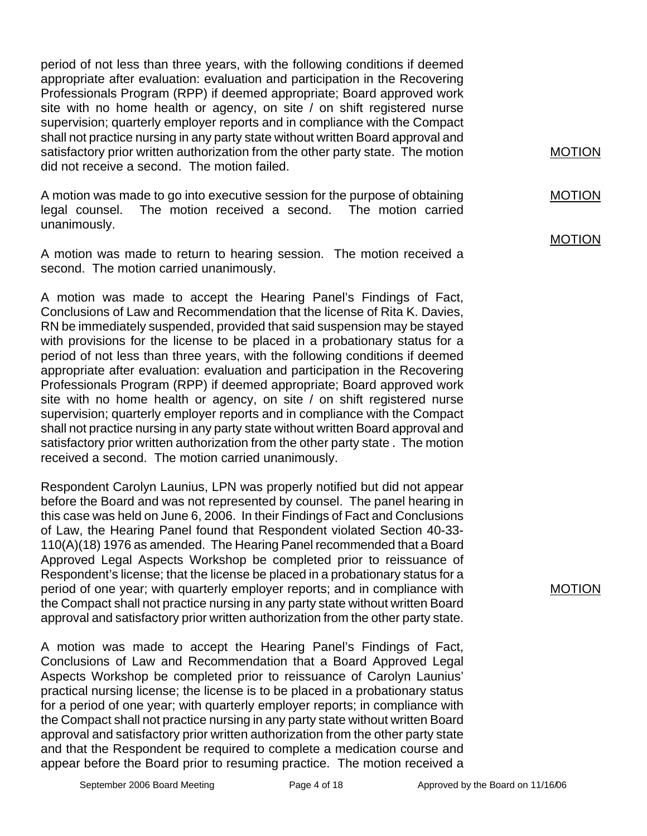period of not less than three years, with the following conditions if deemed appropriate after evaluation: evaluation and participation in the Recovering Professionals Program (RPP) if deemed appropriate; Board approved work site with no home health or agency, on site / on shift registered nurse supervision; quarterly employer reports and in compliance with the Compact shall not practice nursing in any party state without written Board approval and satisfactory prior written authorization from the other party state. The motion did not receive a second. The motion failed.

A motion was made to go into executive session for the purpose of obtaining legal counsel. The motion received a second. The motion carried unanimously.

A motion was made to return to hearing session. The motion received a second. The motion carried unanimously.

A motion was made to accept the Hearing Panel's Findings of Fact, Conclusions of Law and Recommendation that the license of Rita K. Davies, RN be immediately suspended, provided that said suspension may be stayed with provisions for the license to be placed in a probationary status for a period of not less than three years, with the following conditions if deemed appropriate after evaluation: evaluation and participation in the Recovering Professionals Program (RPP) if deemed appropriate; Board approved work site with no home health or agency, on site / on shift registered nurse supervision; quarterly employer reports and in compliance with the Compact shall not practice nursing in any party state without written Board approval and satisfactory prior written authorization from the other party state . The motion received a second. The motion carried unanimously.

Respondent Carolyn Launius, LPN was properly notified but did not appear before the Board and was not represented by counsel. The panel hearing in this case was held on June 6, 2006. In their Findings of Fact and Conclusions of Law, the Hearing Panel found that Respondent violated Section 40-33- 110(A)(18) 1976 as amended. The Hearing Panel recommended that a Board Approved Legal Aspects Workshop be completed prior to reissuance of Respondent's license; that the license be placed in a probationary status for a period of one year; with quarterly employer reports; and in compliance with the Compact shall not practice nursing in any party state without written Board approval and satisfactory prior written authorization from the other party state.

A motion was made to accept the Hearing Panel's Findings of Fact, Conclusions of Law and Recommendation that a Board Approved Legal Aspects Workshop be completed prior to reissuance of Carolyn Launius' practical nursing license; the license is to be placed in a probationary status for a period of one year; with quarterly employer reports; in compliance with the Compact shall not practice nursing in any party state without written Board approval and satisfactory prior written authorization from the other party state and that the Respondent be required to complete a medication course and appear before the Board prior to resuming practice. The motion received a MOTION

MOTION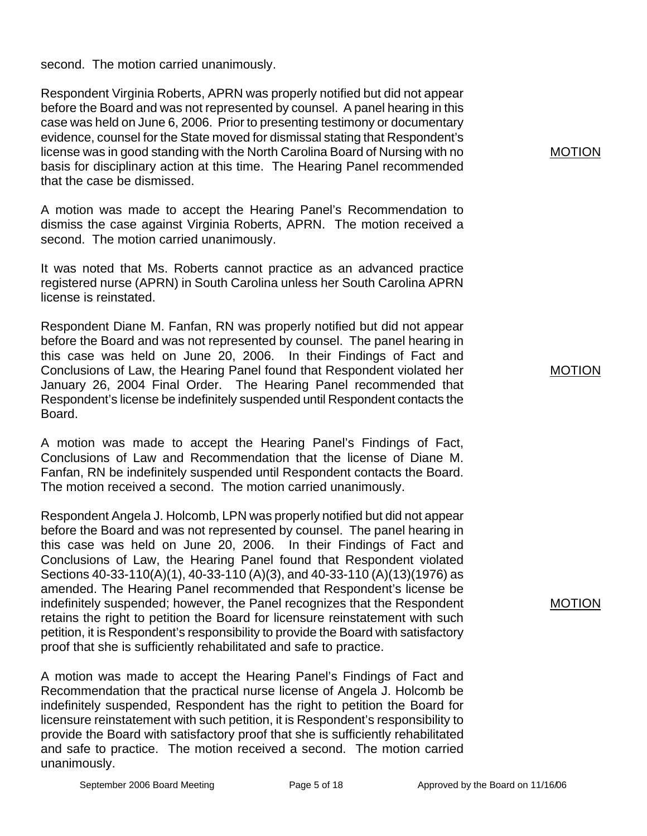second. The motion carried unanimously.

Respondent Virginia Roberts, APRN was properly notified but did not appear before the Board and was not represented by counsel. A panel hearing in this case was held on June 6, 2006. Prior to presenting testimony or documentary evidence, counsel for the State moved for dismissal stating that Respondent's license was in good standing with the North Carolina Board of Nursing with no basis for disciplinary action at this time. The Hearing Panel recommended that the case be dismissed.

A motion was made to accept the Hearing Panel's Recommendation to dismiss the case against Virginia Roberts, APRN. The motion received a second. The motion carried unanimously.

It was noted that Ms. Roberts cannot practice as an advanced practice registered nurse (APRN) in South Carolina unless her South Carolina APRN license is reinstated.

Respondent Diane M. Fanfan, RN was properly notified but did not appear before the Board and was not represented by counsel. The panel hearing in this case was held on June 20, 2006. In their Findings of Fact and Conclusions of Law, the Hearing Panel found that Respondent violated her January 26, 2004 Final Order. The Hearing Panel recommended that Respondent's license be indefinitely suspended until Respondent contacts the Board.

A motion was made to accept the Hearing Panel's Findings of Fact, Conclusions of Law and Recommendation that the license of Diane M. Fanfan, RN be indefinitely suspended until Respondent contacts the Board. The motion received a second. The motion carried unanimously.

Respondent Angela J. Holcomb, LPN was properly notified but did not appear before the Board and was not represented by counsel. The panel hearing in this case was held on June 20, 2006. In their Findings of Fact and Conclusions of Law, the Hearing Panel found that Respondent violated Sections 40-33-110(A)(1), 40-33-110 (A)(3), and 40-33-110 (A)(13)(1976) as amended. The Hearing Panel recommended that Respondent's license be indefinitely suspended; however, the Panel recognizes that the Respondent retains the right to petition the Board for licensure reinstatement with such petition, it is Respondent's responsibility to provide the Board with satisfactory proof that she is sufficiently rehabilitated and safe to practice.

A motion was made to accept the Hearing Panel's Findings of Fact and Recommendation that the practical nurse license of Angela J. Holcomb be indefinitely suspended, Respondent has the right to petition the Board for licensure reinstatement with such petition, it is Respondent's responsibility to provide the Board with satisfactory proof that she is sufficiently rehabilitated and safe to practice. The motion received a second. The motion carried unanimously.

## MOTION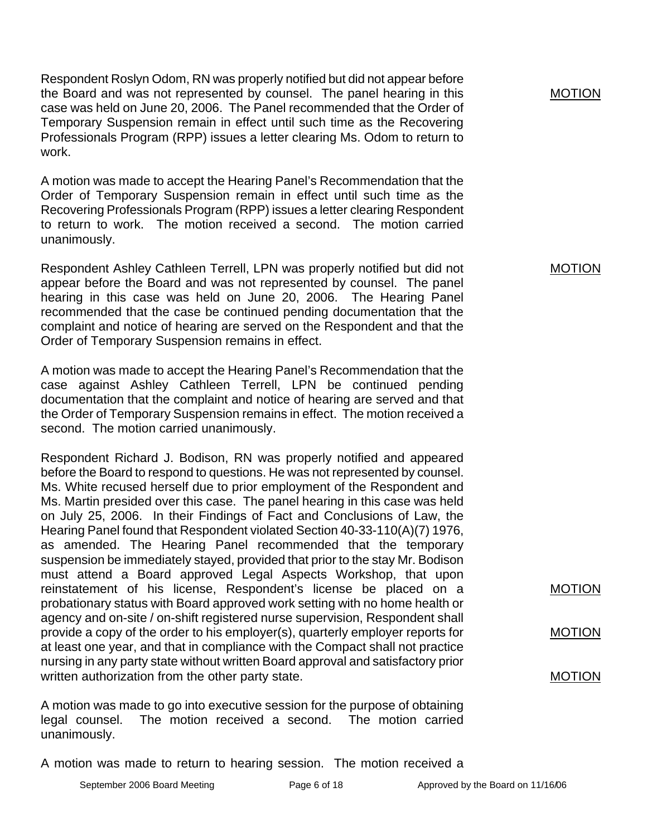Respondent Roslyn Odom, RN was properly notified but did not appear before the Board and was not represented by counsel. The panel hearing in this case was held on June 20, 2006. The Panel recommended that the Order of Temporary Suspension remain in effect until such time as the Recovering Professionals Program (RPP) issues a letter clearing Ms. Odom to return to work.

A motion was made to accept the Hearing Panel's Recommendation that the Order of Temporary Suspension remain in effect until such time as the Recovering Professionals Program (RPP) issues a letter clearing Respondent to return to work. The motion received a second. The motion carried unanimously.

Respondent Ashley Cathleen Terrell, LPN was properly notified but did not appear before the Board and was not represented by counsel. The panel hearing in this case was held on June 20, 2006. The Hearing Panel recommended that the case be continued pending documentation that the complaint and notice of hearing are served on the Respondent and that the Order of Temporary Suspension remains in effect.

A motion was made to accept the Hearing Panel's Recommendation that the case against Ashley Cathleen Terrell, LPN be continued pending documentation that the complaint and notice of hearing are served and that the Order of Temporary Suspension remains in effect. The motion received a second. The motion carried unanimously.

Respondent Richard J. Bodison, RN was properly notified and appeared before the Board to respond to questions. He was not represented by counsel. Ms. White recused herself due to prior employment of the Respondent and Ms. Martin presided over this case. The panel hearing in this case was held on July 25, 2006. In their Findings of Fact and Conclusions of Law, the Hearing Panel found that Respondent violated Section 40-33-110(A)(7) 1976, as amended. The Hearing Panel recommended that the temporary suspension be immediately stayed, provided that prior to the stay Mr. Bodison must attend a Board approved Legal Aspects Workshop, that upon reinstatement of his license, Respondent's license be placed on a probationary status with Board approved work setting with no home health or agency and on-site / on-shift registered nurse supervision, Respondent shall provide a copy of the order to his employer(s), quarterly employer reports for at least one year, and that in compliance with the Compact shall not practice nursing in any party state without written Board approval and satisfactory prior written authorization from the other party state.

A motion was made to go into executive session for the purpose of obtaining legal counsel. The motion received a second. The motion carried unanimously.

A motion was made to return to hearing session. The motion received a

MOTION

MOTION

MOTION

MOTION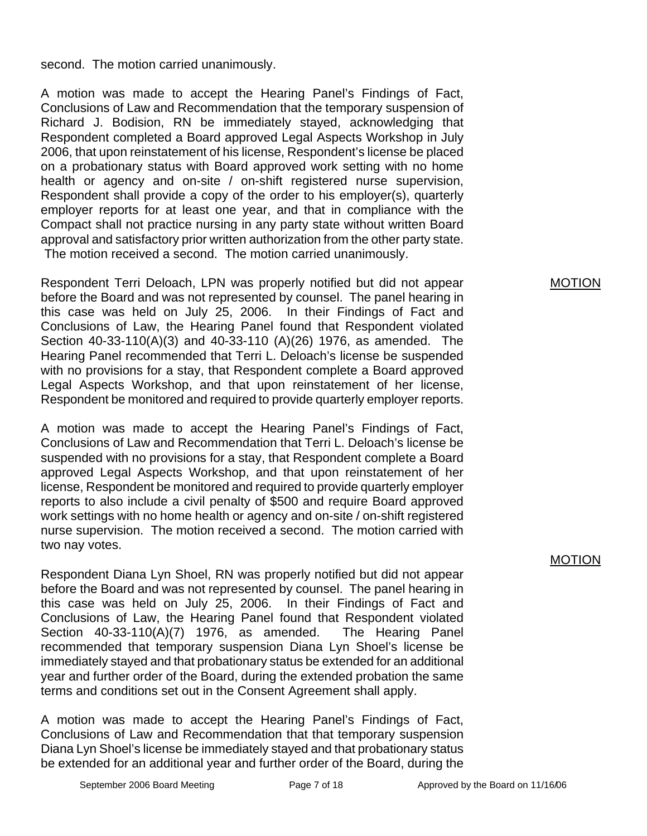second. The motion carried unanimously.

A motion was made to accept the Hearing Panel's Findings of Fact, Conclusions of Law and Recommendation that the temporary suspension of Richard J. Bodision, RN be immediately stayed, acknowledging that Respondent completed a Board approved Legal Aspects Workshop in July 2006, that upon reinstatement of his license, Respondent's license be placed on a probationary status with Board approved work setting with no home health or agency and on-site / on-shift registered nurse supervision, Respondent shall provide a copy of the order to his employer(s), quarterly employer reports for at least one year, and that in compliance with the Compact shall not practice nursing in any party state without written Board approval and satisfactory prior written authorization from the other party state. The motion received a second. The motion carried unanimously.

Respondent Terri Deloach, LPN was properly notified but did not appear before the Board and was not represented by counsel. The panel hearing in this case was held on July 25, 2006. In their Findings of Fact and Conclusions of Law, the Hearing Panel found that Respondent violated Section 40-33-110(A)(3) and 40-33-110 (A)(26) 1976, as amended. The Hearing Panel recommended that Terri L. Deloach's license be suspended with no provisions for a stay, that Respondent complete a Board approved Legal Aspects Workshop, and that upon reinstatement of her license, Respondent be monitored and required to provide quarterly employer reports.

A motion was made to accept the Hearing Panel's Findings of Fact, Conclusions of Law and Recommendation that Terri L. Deloach's license be suspended with no provisions for a stay, that Respondent complete a Board approved Legal Aspects Workshop, and that upon reinstatement of her license, Respondent be monitored and required to provide quarterly employer reports to also include a civil penalty of \$500 and require Board approved work settings with no home health or agency and on-site / on-shift registered nurse supervision. The motion received a second. The motion carried with two nay votes.

Respondent Diana Lyn Shoel, RN was properly notified but did not appear before the Board and was not represented by counsel. The panel hearing in this case was held on July 25, 2006. In their Findings of Fact and Conclusions of Law, the Hearing Panel found that Respondent violated Section 40-33-110(A)(7) 1976, as amended. The Hearing Panel recommended that temporary suspension Diana Lyn Shoel's license be immediately stayed and that probationary status be extended for an additional year and further order of the Board, during the extended probation the same terms and conditions set out in the Consent Agreement shall apply.

A motion was made to accept the Hearing Panel's Findings of Fact, Conclusions of Law and Recommendation that that temporary suspension Diana Lyn Shoel's license be immediately stayed and that probationary status be extended for an additional year and further order of the Board, during the MOTION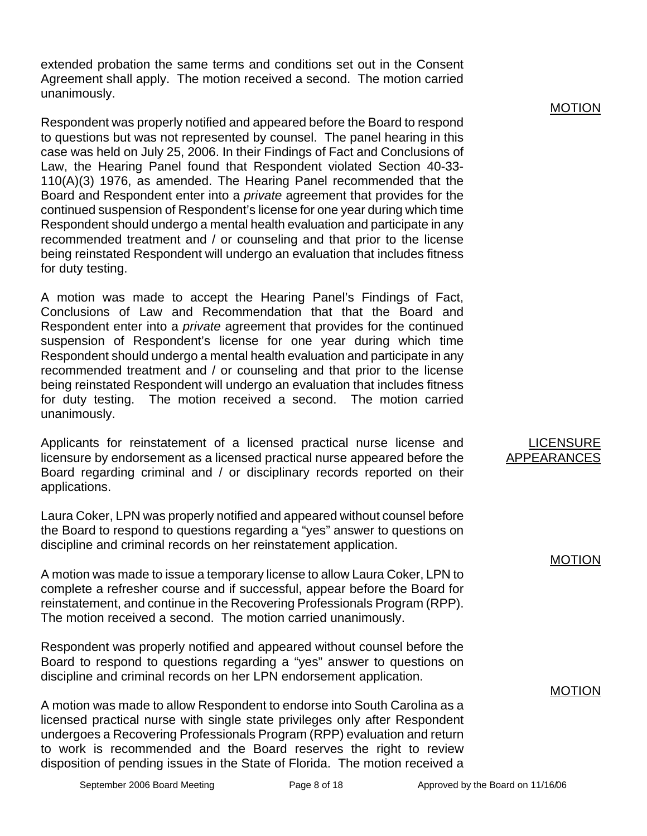extended probation the same terms and conditions set out in the Consent Agreement shall apply. The motion received a second. The motion carried unanimously.

Respondent was properly notified and appeared before the Board to respond to questions but was not represented by counsel. The panel hearing in this case was held on July 25, 2006. In their Findings of Fact and Conclusions of Law, the Hearing Panel found that Respondent violated Section 40-33- 110(A)(3) 1976, as amended. The Hearing Panel recommended that the Board and Respondent enter into a *private* agreement that provides for the continued suspension of Respondent's license for one year during which time Respondent should undergo a mental health evaluation and participate in any recommended treatment and / or counseling and that prior to the license being reinstated Respondent will undergo an evaluation that includes fitness for duty testing.

A motion was made to accept the Hearing Panel's Findings of Fact, Conclusions of Law and Recommendation that that the Board and Respondent enter into a *private* agreement that provides for the continued suspension of Respondent's license for one year during which time Respondent should undergo a mental health evaluation and participate in any recommended treatment and / or counseling and that prior to the license being reinstated Respondent will undergo an evaluation that includes fitness for duty testing. The motion received a second. The motion carried unanimously.

Applicants for reinstatement of a licensed practical nurse license and licensure by endorsement as a licensed practical nurse appeared before the Board regarding criminal and / or disciplinary records reported on their applications.

Laura Coker, LPN was properly notified and appeared without counsel before the Board to respond to questions regarding a "yes" answer to questions on discipline and criminal records on her reinstatement application.

A motion was made to issue a temporary license to allow Laura Coker, LPN to complete a refresher course and if successful, appear before the Board for reinstatement, and continue in the Recovering Professionals Program (RPP). The motion received a second. The motion carried unanimously.

Respondent was properly notified and appeared without counsel before the Board to respond to questions regarding a "yes" answer to questions on discipline and criminal records on her LPN endorsement application.

A motion was made to allow Respondent to endorse into South Carolina as a licensed practical nurse with single state privileges only after Respondent undergoes a Recovering Professionals Program (RPP) evaluation and return to work is recommended and the Board reserves the right to review disposition of pending issues in the State of Florida. The motion received a MOTION

**LICENSURE** APPEARANCES

MOTION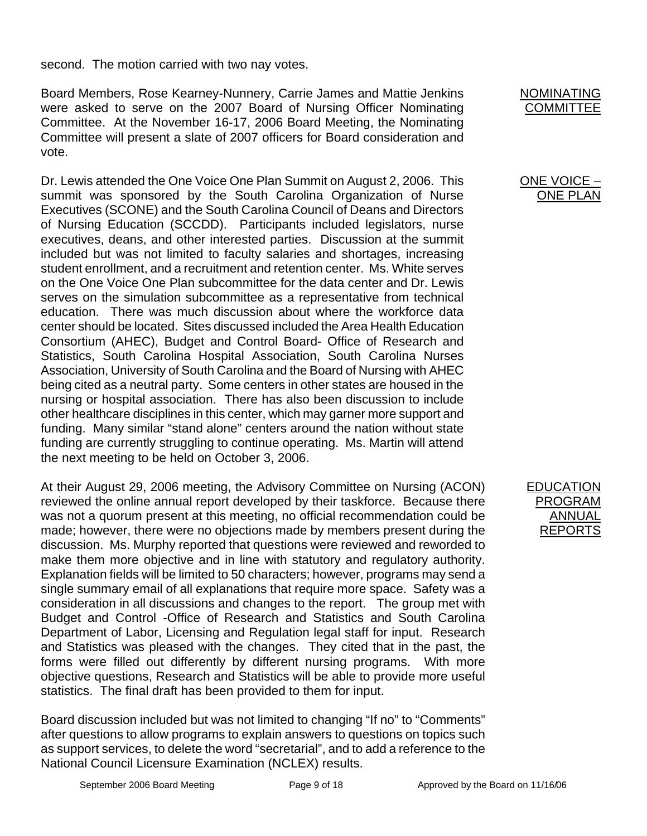second. The motion carried with two nay votes.

Board Members, Rose Kearney-Nunnery, Carrie James and Mattie Jenkins were asked to serve on the 2007 Board of Nursing Officer Nominating Committee. At the November 16-17, 2006 Board Meeting, the Nominating Committee will present a slate of 2007 officers for Board consideration and vote.

Dr. Lewis attended the One Voice One Plan Summit on August 2, 2006. This summit was sponsored by the South Carolina Organization of Nurse Executives (SCONE) and the South Carolina Council of Deans and Directors of Nursing Education (SCCDD). Participants included legislators, nurse executives, deans, and other interested parties. Discussion at the summit included but was not limited to faculty salaries and shortages, increasing student enrollment, and a recruitment and retention center. Ms. White serves on the One Voice One Plan subcommittee for the data center and Dr. Lewis serves on the simulation subcommittee as a representative from technical education. There was much discussion about where the workforce data center should be located. Sites discussed included the Area Health Education Consortium (AHEC), Budget and Control Board- Office of Research and Statistics, South Carolina Hospital Association, South Carolina Nurses Association, University of South Carolina and the Board of Nursing with AHEC being cited as a neutral party. Some centers in other states are housed in the nursing or hospital association. There has also been discussion to include other healthcare disciplines in this center, which may garner more support and funding. Many similar "stand alone" centers around the nation without state funding are currently struggling to continue operating. Ms. Martin will attend the next meeting to be held on October 3, 2006.

At their August 29, 2006 meeting, the Advisory Committee on Nursing (ACON) reviewed the online annual report developed by their taskforce. Because there was not a quorum present at this meeting, no official recommendation could be made; however, there were no objections made by members present during the discussion. Ms. Murphy reported that questions were reviewed and reworded to make them more objective and in line with statutory and regulatory authority. Explanation fields will be limited to 50 characters; however, programs may send a single summary email of all explanations that require more space. Safety was a consideration in all discussions and changes to the report. The group met with Budget and Control -Office of Research and Statistics and South Carolina Department of Labor, Licensing and Regulation legal staff for input. Research and Statistics was pleased with the changes. They cited that in the past, the forms were filled out differently by different nursing programs. With more objective questions, Research and Statistics will be able to provide more useful statistics. The final draft has been provided to them for input.

Board discussion included but was not limited to changing "If no" to "Comments" after questions to allow programs to explain answers to questions on topics such as support services, to delete the word "secretarial", and to add a reference to the National Council Licensure Examination (NCLEX) results.



## ONE VOICE – ONE PLAN

EDUCATION PROGRAM ANNUAL REPORTS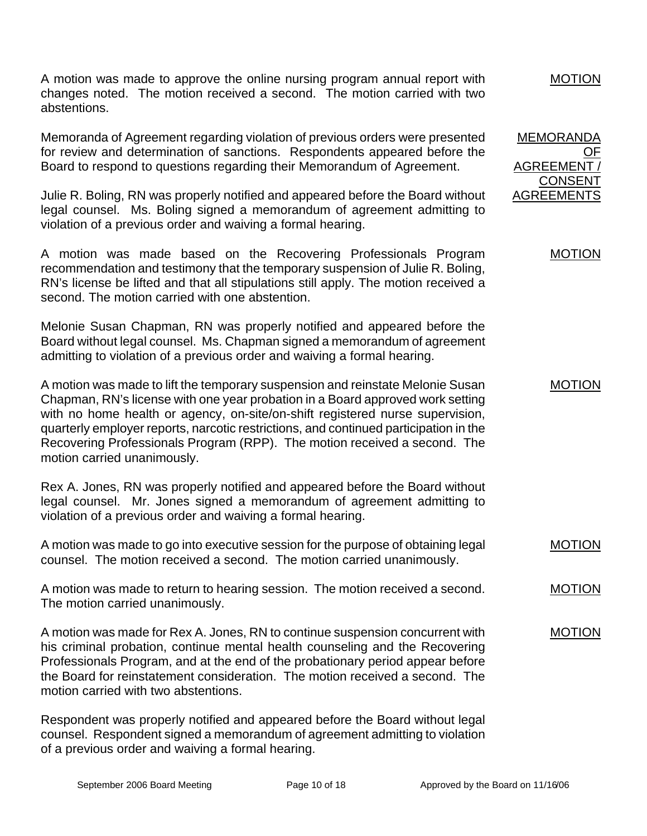A motion was made to approve the online nursing program annual report with changes noted. The motion received a second. The motion carried with two abstentions.

Memoranda of Agreement regarding violation of previous orders were presented for review and determination of sanctions. Respondents appeared before the Board to respond to questions regarding their Memorandum of Agreement.

Julie R. Boling, RN was properly notified and appeared before the Board without legal counsel. Ms. Boling signed a memorandum of agreement admitting to violation of a previous order and waiving a formal hearing.

A motion was made based on the Recovering Professionals Program recommendation and testimony that the temporary suspension of Julie R. Boling, RN's license be lifted and that all stipulations still apply. The motion received a second. The motion carried with one abstention.

Melonie Susan Chapman, RN was properly notified and appeared before the Board without legal counsel. Ms. Chapman signed a memorandum of agreement admitting to violation of a previous order and waiving a formal hearing.

A motion was made to lift the temporary suspension and reinstate Melonie Susan Chapman, RN's license with one year probation in a Board approved work setting with no home health or agency, on-site/on-shift registered nurse supervision, quarterly employer reports, narcotic restrictions, and continued participation in the Recovering Professionals Program (RPP). The motion received a second. The motion carried unanimously.

Rex A. Jones, RN was properly notified and appeared before the Board without legal counsel. Mr. Jones signed a memorandum of agreement admitting to violation of a previous order and waiving a formal hearing.

A motion was made to go into executive session for the purpose of obtaining legal counsel. The motion received a second. The motion carried unanimously.

A motion was made to return to hearing session. The motion received a second. The motion carried unanimously.

A motion was made for Rex A. Jones, RN to continue suspension concurrent with his criminal probation, continue mental health counseling and the Recovering Professionals Program, and at the end of the probationary period appear before the Board for reinstatement consideration. The motion received a second. The motion carried with two abstentions.

Respondent was properly notified and appeared before the Board without legal counsel. Respondent signed a memorandum of agreement admitting to violation of a previous order and waiving a formal hearing.

## MOTION

MEMORANDA OF AGREEMENT / CONSENT AGREEMENTS

## MOTION

MOTION

MOTION

## MOTION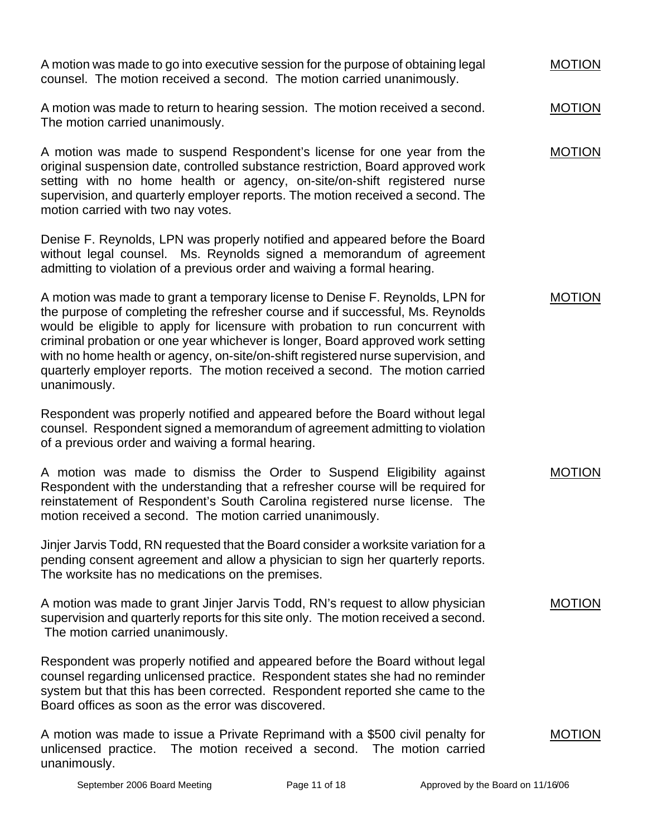A motion was made to go into executive session for the purpose of obtaining legal counsel. The motion received a second. The motion carried unanimously. A motion was made to return to hearing session. The motion received a second. The motion carried unanimously. A motion was made to suspend Respondent's license for one year from the original suspension date, controlled substance restriction, Board approved work setting with no home health or agency, on-site/on-shift registered nurse supervision, and quarterly employer reports. The motion received a second. The motion carried with two nay votes. Denise F. Reynolds, LPN was properly notified and appeared before the Board without legal counsel. Ms. Reynolds signed a memorandum of agreement admitting to violation of a previous order and waiving a formal hearing. A motion was made to grant a temporary license to Denise F. Reynolds, LPN for the purpose of completing the refresher course and if successful, Ms. Reynolds would be eligible to apply for licensure with probation to run concurrent with criminal probation or one year whichever is longer, Board approved work setting with no home health or agency, on-site/on-shift registered nurse supervision, and quarterly employer reports. The motion received a second. The motion carried unanimously. Respondent was properly notified and appeared before the Board without legal counsel. Respondent signed a memorandum of agreement admitting to violation of a previous order and waiving a formal hearing. A motion was made to dismiss the Order to Suspend Eligibility against Respondent with the understanding that a refresher course will be required for reinstatement of Respondent's South Carolina registered nurse license. The motion received a second. The motion carried unanimously. Jinjer Jarvis Todd, RN requested that the Board consider a worksite variation for a pending consent agreement and allow a physician to sign her quarterly reports. The worksite has no medications on the premises. A motion was made to grant Jinjer Jarvis Todd, RN's request to allow physician supervision and quarterly reports for this site only. The motion received a second. The motion carried unanimously. Respondent was properly notified and appeared before the Board without legal counsel regarding unlicensed practice. Respondent states she had no reminder system but that this has been corrected. Respondent reported she came to the Board offices as soon as the error was discovered. MOTION MOTION MOTION MOTION MOTION MOTION MOTION

A motion was made to issue a Private Reprimand with a \$500 civil penalty for unlicensed practice. The motion received a second. The motion carried unanimously.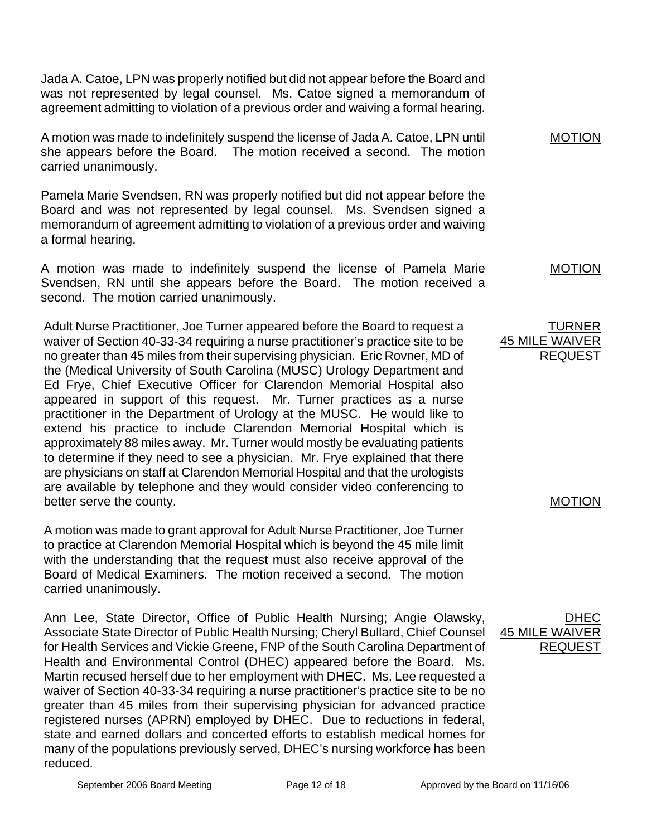Jada A. Catoe, LPN was properly notified but did not appear before the Board and was not represented by legal counsel. Ms. Catoe signed a memorandum of agreement admitting to violation of a previous order and waiving a formal hearing.

A motion was made to indefinitely suspend the license of Jada A. Catoe, LPN until she appears before the Board. The motion received a second. The motion carried unanimously.

Pamela Marie Svendsen, RN was properly notified but did not appear before the Board and was not represented by legal counsel. Ms. Svendsen signed a memorandum of agreement admitting to violation of a previous order and waiving a formal hearing.

A motion was made to indefinitely suspend the license of Pamela Marie Svendsen, RN until she appears before the Board. The motion received a second. The motion carried unanimously.

Adult Nurse Practitioner, Joe Turner appeared before the Board to request a waiver of Section 40-33-34 requiring a nurse practitioner's practice site to be no greater than 45 miles from their supervising physician. Eric Rovner, MD of the (Medical University of South Carolina (MUSC) Urology Department and Ed Frye, Chief Executive Officer for Clarendon Memorial Hospital also appeared in support of this request. Mr. Turner practices as a nurse practitioner in the Department of Urology at the MUSC. He would like to extend his practice to include Clarendon Memorial Hospital which is approximately 88 miles away. Mr. Turner would mostly be evaluating patients to determine if they need to see a physician. Mr. Frye explained that there are physicians on staff at Clarendon Memorial Hospital and that the urologists are available by telephone and they would consider video conferencing to better serve the county.

A motion was made to grant approval for Adult Nurse Practitioner, Joe Turner to practice at Clarendon Memorial Hospital which is beyond the 45 mile limit with the understanding that the request must also receive approval of the Board of Medical Examiners. The motion received a second. The motion carried unanimously.

Ann Lee, State Director, Office of Public Health Nursing; Angie Olawsky, Associate State Director of Public Health Nursing; Cheryl Bullard, Chief Counsel for Health Services and Vickie Greene, FNP of the South Carolina Department of Health and Environmental Control (DHEC) appeared before the Board. Ms. Martin recused herself due to her employment with DHEC. Ms. Lee requested a waiver of Section 40-33-34 requiring a nurse practitioner's practice site to be no greater than 45 miles from their supervising physician for advanced practice registered nurses (APRN) employed by DHEC. Due to reductions in federal, state and earned dollars and concerted efforts to establish medical homes for many of the populations previously served, DHEC's nursing workforce has been reduced.

MOTION

MOTION

TURNER 45 MILE WAIV REQUEST

## MOTION

<u>DHEC</u> 45 MILE WAI REQUEST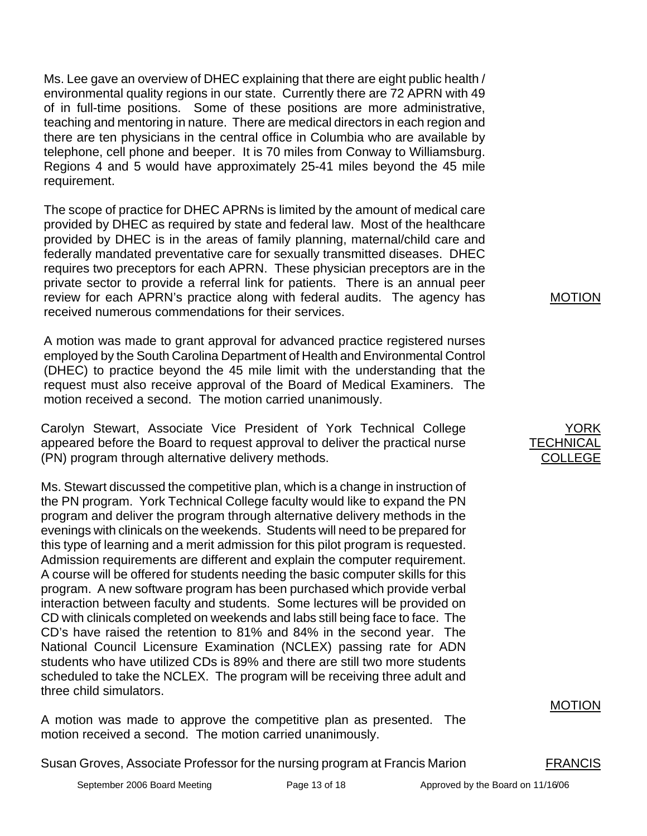Ms. Lee gave an overview of DHEC explaining that there are eight public health / environmental quality regions in our state. Currently there are 72 APRN with 49 of in full-time positions. Some of these positions are more administrative, teaching and mentoring in nature. There are medical directors in each region and there are ten physicians in the central office in Columbia who are available by telephone, cell phone and beeper. It is 70 miles from Conway to Williamsburg. Regions 4 and 5 would have approximately 25-41 miles beyond the 45 mile requirement.

The scope of practice for DHEC APRNs is limited by the amount of medical care provided by DHEC as required by state and federal law. Most of the healthcare provided by DHEC is in the areas of family planning, maternal/child care and federally mandated preventative care for sexually transmitted diseases. DHEC requires two preceptors for each APRN. These physician preceptors are in the private sector to provide a referral link for patients. There is an annual peer review for each APRN's practice along with federal audits. The agency has received numerous commendations for their services.

A motion was made to grant approval for advanced practice registered nurses employed by the South Carolina Department of Health and Environmental Control (DHEC) to practice beyond the 45 mile limit with the understanding that the request must also receive approval of the Board of Medical Examiners. The motion received a second. The motion carried unanimously.

Carolyn Stewart, Associate Vice President of York Technical College appeared before the Board to request approval to deliver the practical nurse (PN) program through alternative delivery methods.

Ms. Stewart discussed the competitive plan, which is a change in instruction of the PN program. York Technical College faculty would like to expand the PN program and deliver the program through alternative delivery methods in the evenings with clinicals on the weekends. Students will need to be prepared for this type of learning and a merit admission for this pilot program is requested. Admission requirements are different and explain the computer requirement. A course will be offered for students needing the basic computer skills for this program. A new software program has been purchased which provide verbal interaction between faculty and students. Some lectures will be provided on CD with clinicals completed on weekends and labs still being face to face. The CD's have raised the retention to 81% and 84% in the second year. The National Council Licensure Examination (NCLEX) passing rate for ADN students who have utilized CDs is 89% and there are still two more students scheduled to take the NCLEX. The program will be receiving three adult and three child simulators.

A motion was made to approve the competitive plan as presented. The motion received a second. The motion carried unanimously.

Susan Groves, Associate Professor for the nursing program at Francis Marion FRANCIS

MOTION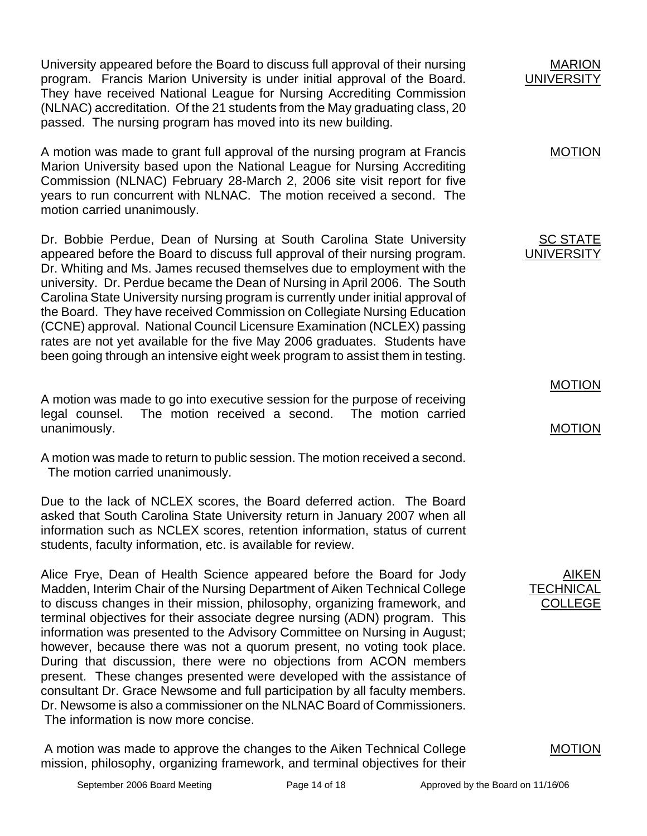University appeared before the Board to discuss full approval of their nursing program. Francis Marion University is under initial approval of the Board. They have received National League for Nursing Accrediting Commission (NLNAC) accreditation. Of the 21 students from the May graduating class, 20 passed. The nursing program has moved into its new building. A motion was made to grant full approval of the nursing program at Francis Marion University based upon the National League for Nursing Accrediting Commission (NLNAC) February 28-March 2, 2006 site visit report for five years to run concurrent with NLNAC. The motion received a second. The motion carried unanimously. MARION **UNIVERSITY** MOTION Dr. Bobbie Perdue, Dean of Nursing at South Carolina State University appeared before the Board to discuss full approval of their nursing program. Dr. Whiting and Ms. James recused themselves due to employment with the university. Dr. Perdue became the Dean of Nursing in April 2006. The South Carolina State University nursing program is currently under initial approval of the Board. They have received Commission on Collegiate Nursing Education (CCNE) approval. National Council Licensure Examination (NCLEX) passing rates are not yet available for the five May 2006 graduates. Students have been going through an intensive eight week program to assist them in testing. A motion was made to go into executive session for the purpose of receiving legal counsel. The motion received a second. The motion carried unanimously. A motion was made to return to public session. The motion received a second. The motion carried unanimously. Due to the lack of NCLEX scores, the Board deferred action. The Board asked that South Carolina State University return in January 2007 when all information such as NCLEX scores, retention information, status of current students, faculty information, etc. is available for review. SC STATE UNIVERSITY MOTION MOTION Alice Frye, Dean of Health Science appeared before the Board for Jody Madden, Interim Chair of the Nursing Department of Aiken Technical College to discuss changes in their mission, philosophy, organizing framework, and terminal objectives for their associate degree nursing (ADN) program. This information was presented to the Advisory Committee on Nursing in August; however, because there was not a quorum present, no voting took place. During that discussion, there were no objections from ACON members present. These changes presented were developed with the assistance of consultant Dr. Grace Newsome and full participation by all faculty members. Dr. Newsome is also a commissioner on the NLNAC Board of Commissioners. AIKEN **TECHNICAL** COLLEGE

The information is now more concise.

 A motion was made to approve the changes to the Aiken Technical College mission, philosophy, organizing framework, and terminal objectives for their

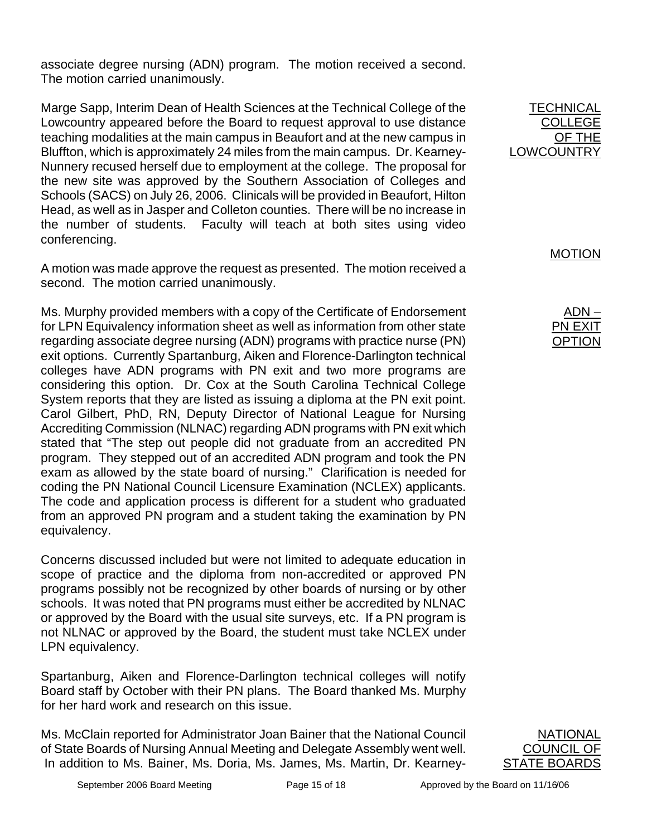associate degree nursing (ADN) program. The motion received a second. The motion carried unanimously.

Marge Sapp, Interim Dean of Health Sciences at the Technical College of the Lowcountry appeared before the Board to request approval to use distance teaching modalities at the main campus in Beaufort and at the new campus in Bluffton, which is approximately 24 miles from the main campus. Dr. Kearney-Nunnery recused herself due to employment at the college. The proposal for the new site was approved by the Southern Association of Colleges and Schools (SACS) on July 26, 2006. Clinicals will be provided in Beaufort, Hilton Head, as well as in Jasper and Colleton counties. There will be no increase in the number of students. Faculty will teach at both sites using video conferencing.

A motion was made approve the request as presented. The motion received a second. The motion carried unanimously.

Ms. Murphy provided members with a copy of the Certificate of Endorsement for LPN Equivalency information sheet as well as information from other state regarding associate degree nursing (ADN) programs with practice nurse (PN) exit options. Currently Spartanburg, Aiken and Florence-Darlington technical colleges have ADN programs with PN exit and two more programs are considering this option. Dr. Cox at the South Carolina Technical College System reports that they are listed as issuing a diploma at the PN exit point. Carol Gilbert, PhD, RN, Deputy Director of National League for Nursing Accrediting Commission (NLNAC) regarding ADN programs with PN exit which stated that "The step out people did not graduate from an accredited PN program. They stepped out of an accredited ADN program and took the PN exam as allowed by the state board of nursing." Clarification is needed for coding the PN National Council Licensure Examination (NCLEX) applicants. The code and application process is different for a student who graduated from an approved PN program and a student taking the examination by PN equivalency.

Concerns discussed included but were not limited to adequate education in scope of practice and the diploma from non-accredited or approved PN programs possibly not be recognized by other boards of nursing or by other schools. It was noted that PN programs must either be accredited by NLNAC or approved by the Board with the usual site surveys, etc. If a PN program is not NLNAC or approved by the Board, the student must take NCLEX under LPN equivalency.

Spartanburg, Aiken and Florence-Darlington technical colleges will notify Board staff by October with their PN plans. The Board thanked Ms. Murphy for her hard work and research on this issue.

Ms. McClain reported for Administrator Joan Bainer that the National Council of State Boards of Nursing Annual Meeting and Delegate Assembly went well. In addition to Ms. Bainer, Ms. Doria, Ms. James, Ms. Martin, Dr. Kearney-

**NATIONAL** COUNCIL OF

STATE BOARDS

**TECHNICAL** COLLEGE OF THE LOWCOUNTRY

MOTION

ADN – <u>PN EXIT</u> OPTION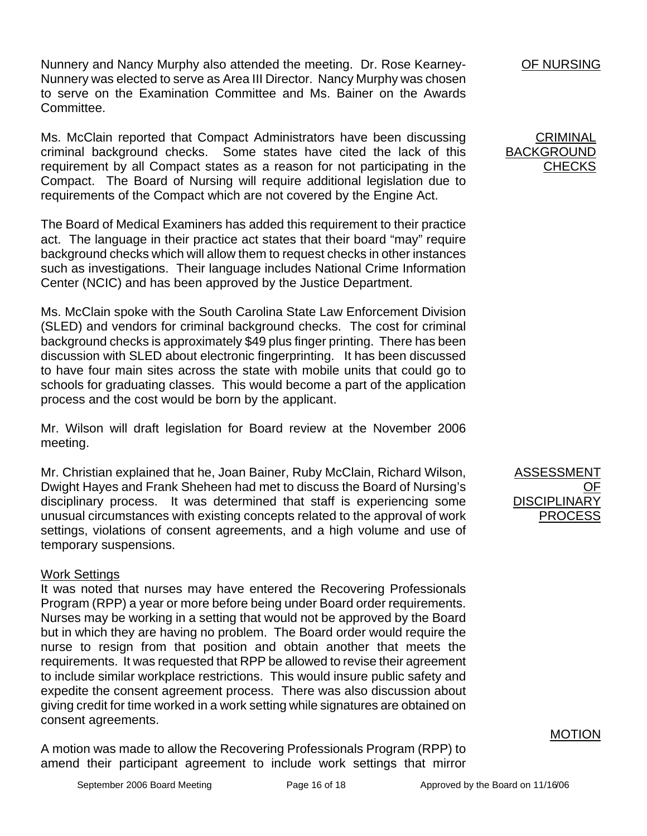Nunnery and Nancy Murphy also attended the meeting. Dr. Rose Kearney-Nunnery was elected to serve as Area III Director. Nancy Murphy was chosen to serve on the Examination Committee and Ms. Bainer on the Awards Committee.

Ms. McClain reported that Compact Administrators have been discussing criminal background checks. Some states have cited the lack of this requirement by all Compact states as a reason for not participating in the Compact. The Board of Nursing will require additional legislation due to requirements of the Compact which are not covered by the Engine Act.

The Board of Medical Examiners has added this requirement to their practice act. The language in their practice act states that their board "may" require background checks which will allow them to request checks in other instances such as investigations. Their language includes National Crime Information Center (NCIC) and has been approved by the Justice Department.

Ms. McClain spoke with the South Carolina State Law Enforcement Division (SLED) and vendors for criminal background checks. The cost for criminal background checks is approximately \$49 plus finger printing. There has been discussion with SLED about electronic fingerprinting. It has been discussed to have four main sites across the state with mobile units that could go to schools for graduating classes. This would become a part of the application process and the cost would be born by the applicant.

Mr. Wilson will draft legislation for Board review at the November 2006 meeting.

Mr. Christian explained that he, Joan Bainer, Ruby McClain, Richard Wilson, Dwight Hayes and Frank Sheheen had met to discuss the Board of Nursing's disciplinary process. It was determined that staff is experiencing some unusual circumstances with existing concepts related to the approval of work settings, violations of consent agreements, and a high volume and use of temporary suspensions.

## Work Settings

It was noted that nurses may have entered the Recovering Professionals Program (RPP) a year or more before being under Board order requirements. Nurses may be working in a setting that would not be approved by the Board but in which they are having no problem. The Board order would require the nurse to resign from that position and obtain another that meets the requirements. It was requested that RPP be allowed to revise their agreement to include similar workplace restrictions. This would insure public safety and expedite the consent agreement process. There was also discussion about giving credit for time worked in a work setting while signatures are obtained on consent agreements.

A motion was made to allow the Recovering Professionals Program (RPP) to amend their participant agreement to include work settings that mirror OF NURSING

**CRIMINAL** BACKGROUND **CHECKS** 

ASSESSMENT <u>OF</u> **DISCIPLINARY** PROCESS

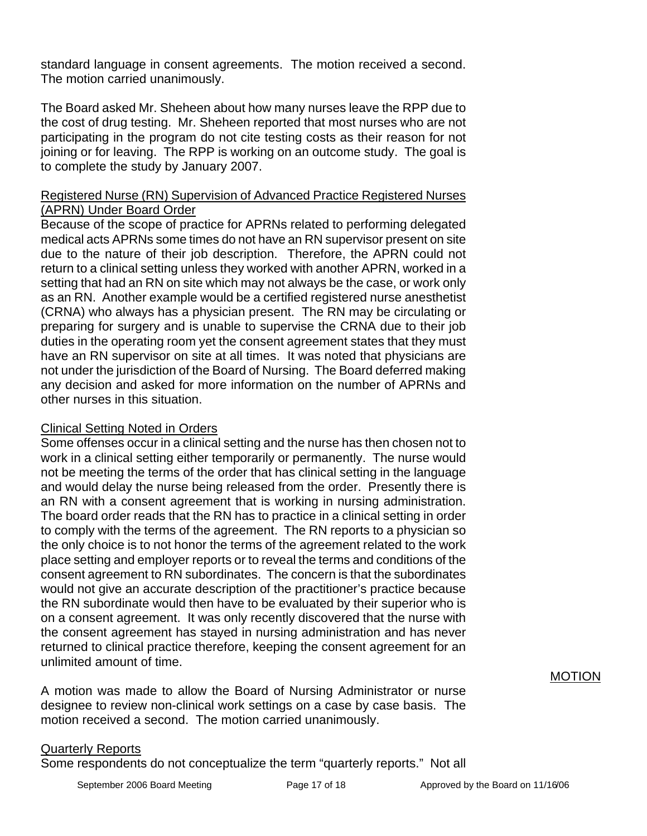standard language in consent agreements. The motion received a second. The motion carried unanimously.

The Board asked Mr. Sheheen about how many nurses leave the RPP due to the cost of drug testing. Mr. Sheheen reported that most nurses who are not participating in the program do not cite testing costs as their reason for not joining or for leaving. The RPP is working on an outcome study. The goal is to complete the study by January 2007.

## Registered Nurse (RN) Supervision of Advanced Practice Registered Nurses (APRN) Under Board Order

Because of the scope of practice for APRNs related to performing delegated medical acts APRNs some times do not have an RN supervisor present on site due to the nature of their job description. Therefore, the APRN could not return to a clinical setting unless they worked with another APRN, worked in a setting that had an RN on site which may not always be the case, or work only as an RN. Another example would be a certified registered nurse anesthetist (CRNA) who always has a physician present. The RN may be circulating or preparing for surgery and is unable to supervise the CRNA due to their job duties in the operating room yet the consent agreement states that they must have an RN supervisor on site at all times. It was noted that physicians are not under the jurisdiction of the Board of Nursing. The Board deferred making any decision and asked for more information on the number of APRNs and other nurses in this situation.

## Clinical Setting Noted in Orders

Some offenses occur in a clinical setting and the nurse has then chosen not to work in a clinical setting either temporarily or permanently. The nurse would not be meeting the terms of the order that has clinical setting in the language and would delay the nurse being released from the order. Presently there is an RN with a consent agreement that is working in nursing administration. The board order reads that the RN has to practice in a clinical setting in order to comply with the terms of the agreement. The RN reports to a physician so the only choice is to not honor the terms of the agreement related to the work place setting and employer reports or to reveal the terms and conditions of the consent agreement to RN subordinates. The concern is that the subordinates would not give an accurate description of the practitioner's practice because the RN subordinate would then have to be evaluated by their superior who is on a consent agreement. It was only recently discovered that the nurse with the consent agreement has stayed in nursing administration and has never returned to clinical practice therefore, keeping the consent agreement for an unlimited amount of time.

A motion was made to allow the Board of Nursing Administrator or nurse designee to review non-clinical work settings on a case by case basis. The motion received a second. The motion carried unanimously.

## Quarterly Reports

Some respondents do not conceptualize the term "quarterly reports." Not all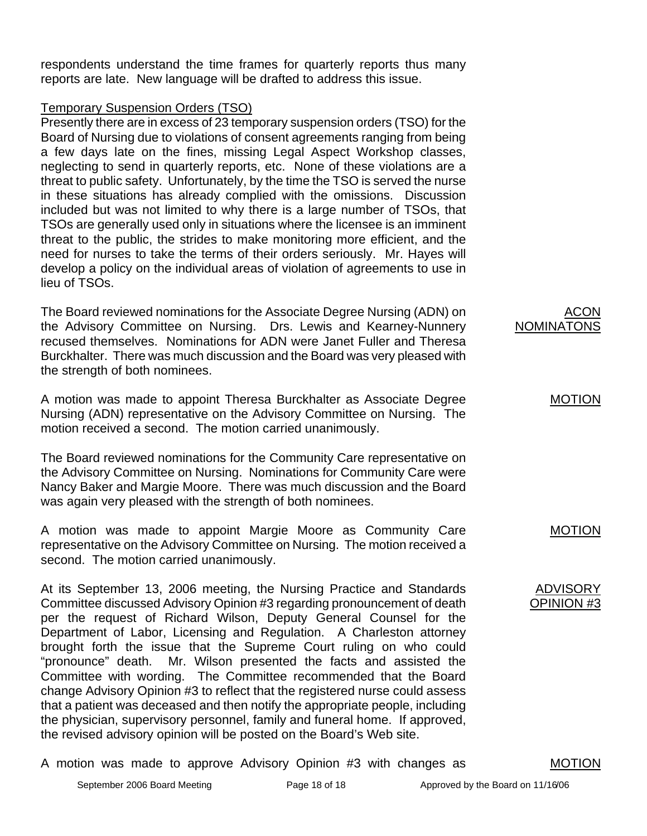respondents understand the time frames for quarterly reports thus many reports are late. New language will be drafted to address this issue.

## Temporary Suspension Orders (TSO)

Presently there are in excess of 23 temporary suspension orders (TSO) for the Board of Nursing due to violations of consent agreements ranging from being a few days late on the fines, missing Legal Aspect Workshop classes, neglecting to send in quarterly reports, etc. None of these violations are a threat to public safety. Unfortunately, by the time the TSO is served the nurse in these situations has already complied with the omissions. Discussion included but was not limited to why there is a large number of TSOs, that TSOs are generally used only in situations where the licensee is an imminent threat to the public, the strides to make monitoring more efficient, and the need for nurses to take the terms of their orders seriously. Mr. Hayes will develop a policy on the individual areas of violation of agreements to use in lieu of TSOs.

The Board reviewed nominations for the Associate Degree Nursing (ADN) on the Advisory Committee on Nursing. Drs. Lewis and Kearney-Nunnery recused themselves. Nominations for ADN were Janet Fuller and Theresa Burckhalter. There was much discussion and the Board was very pleased with the strength of both nominees.

A motion was made to appoint Theresa Burckhalter as Associate Degree Nursing (ADN) representative on the Advisory Committee on Nursing. The motion received a second. The motion carried unanimously.

The Board reviewed nominations for the Community Care representative on the Advisory Committee on Nursing. Nominations for Community Care were Nancy Baker and Margie Moore. There was much discussion and the Board was again very pleased with the strength of both nominees.

A motion was made to appoint Margie Moore as Community Care representative on the Advisory Committee on Nursing. The motion received a second. The motion carried unanimously.

At its September 13, 2006 meeting, the Nursing Practice and Standards Committee discussed Advisory Opinion #3 regarding pronouncement of death per the request of Richard Wilson, Deputy General Counsel for the Department of Labor, Licensing and Regulation. A Charleston attorney brought forth the issue that the Supreme Court ruling on who could "pronounce" death. Mr. Wilson presented the facts and assisted the Committee with wording. The Committee recommended that the Board change Advisory Opinion #3 to reflect that the registered nurse could assess that a patient was deceased and then notify the appropriate people, including the physician, supervisory personnel, family and funeral home. If approved, the revised advisory opinion will be posted on the Board's Web site.

A motion was made to approve Advisory Opinion #3 with changes as



# MOTION

ADVISORY

MOTION

OPINION #3